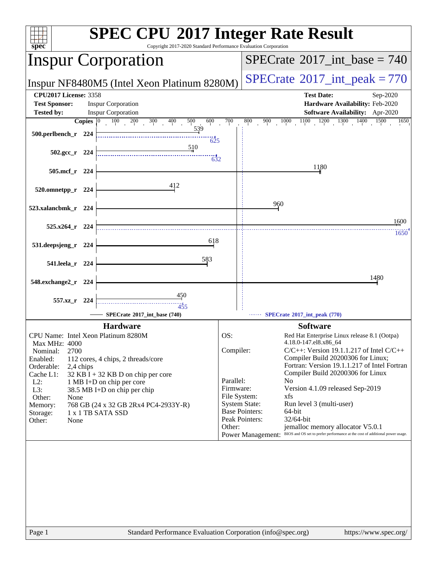| spec <sup>®</sup>                                                                                                                                                                                                                                              | <b>SPEC CPU®2017 Integer Rate Result</b><br>Copyright 2017-2020 Standard Performance Evaluation Corporation |                           |                                                                                                          |  |  |  |
|----------------------------------------------------------------------------------------------------------------------------------------------------------------------------------------------------------------------------------------------------------------|-------------------------------------------------------------------------------------------------------------|---------------------------|----------------------------------------------------------------------------------------------------------|--|--|--|
|                                                                                                                                                                                                                                                                | <b>Inspur Corporation</b>                                                                                   |                           | $SPECrate^{\circ}2017\_int\_base = 740$                                                                  |  |  |  |
| Inspur NF8480M5 (Intel Xeon Platinum 8280M)                                                                                                                                                                                                                    |                                                                                                             |                           | $SPECTate$ <sup>®</sup> 2017_int_peak = 770                                                              |  |  |  |
| <b>CPU2017 License: 3358</b>                                                                                                                                                                                                                                   |                                                                                                             |                           | <b>Test Date:</b><br>Sep-2020                                                                            |  |  |  |
| <b>Test Sponsor:</b><br><b>Inspur Corporation</b>                                                                                                                                                                                                              |                                                                                                             |                           | Hardware Availability: Feb-2020                                                                          |  |  |  |
| <b>Inspur Corporation</b><br><b>Software Availability:</b> Apr-2020<br><b>Tested by:</b><br>$100 \t 200 \t 300 \t 400$<br>700<br>$\begin{array}{cccccc} 1000 & 1100 & 1200 & 1300 & 1400 & 1500 \end{array}$<br>Copies $ 0\rangle$<br>500<br>600<br>800<br>900 |                                                                                                             |                           |                                                                                                          |  |  |  |
| 500.perlbench_r 224                                                                                                                                                                                                                                            | 539<br>625                                                                                                  |                           |                                                                                                          |  |  |  |
| $502.\text{gcc r}$ 224                                                                                                                                                                                                                                         | <u>510</u><br>632                                                                                           |                           |                                                                                                          |  |  |  |
| 505.mcf_r 224                                                                                                                                                                                                                                                  |                                                                                                             |                           | 1180                                                                                                     |  |  |  |
| 520.omnetpp_r 224                                                                                                                                                                                                                                              | 412                                                                                                         |                           |                                                                                                          |  |  |  |
| 523.xalancbmk_r 224                                                                                                                                                                                                                                            |                                                                                                             |                           | 960                                                                                                      |  |  |  |
| $525.x264$ r 224                                                                                                                                                                                                                                               |                                                                                                             |                           | 1600                                                                                                     |  |  |  |
| 531.deepsjeng_r 224                                                                                                                                                                                                                                            | 618                                                                                                         |                           | $1650^{\degree}$                                                                                         |  |  |  |
| 541.leela_r 224                                                                                                                                                                                                                                                | 583                                                                                                         |                           |                                                                                                          |  |  |  |
| 548.exchange2_r 224                                                                                                                                                                                                                                            |                                                                                                             |                           | 1480                                                                                                     |  |  |  |
| 557.xz r 224                                                                                                                                                                                                                                                   |                                                                                                             |                           |                                                                                                          |  |  |  |
|                                                                                                                                                                                                                                                                | SPECrate®2017_int_base (740)                                                                                |                           | SPECrate®2017_int_peak (770)                                                                             |  |  |  |
|                                                                                                                                                                                                                                                                | <b>Hardware</b>                                                                                             |                           | <b>Software</b>                                                                                          |  |  |  |
| CPU Name: Intel Xeon Platinum 8280M                                                                                                                                                                                                                            |                                                                                                             | OS:                       | Red Hat Enterprise Linux release 8.1 (Ootpa)                                                             |  |  |  |
| Max MHz: 4000<br>Nominal:<br>2700                                                                                                                                                                                                                              |                                                                                                             | Compiler:                 | 4.18.0-147.el8.x86 64<br>$C/C++$ : Version 19.1.1.217 of Intel $C/C++$                                   |  |  |  |
| Enabled:                                                                                                                                                                                                                                                       | 112 cores, 4 chips, 2 threads/core                                                                          |                           | Compiler Build 20200306 for Linux;                                                                       |  |  |  |
| Orderable:<br>2,4 chips<br>Cache L1:                                                                                                                                                                                                                           | 32 KB I + 32 KB D on chip per core                                                                          |                           | Fortran: Version 19.1.1.217 of Intel Fortran<br>Compiler Build 20200306 for Linux                        |  |  |  |
| $L2$ :                                                                                                                                                                                                                                                         | 1 MB I+D on chip per core                                                                                   | Parallel:                 | N <sub>0</sub>                                                                                           |  |  |  |
| L3:                                                                                                                                                                                                                                                            | 38.5 MB I+D on chip per chip                                                                                | Firmware:<br>File System: | Version 4.1.09 released Sep-2019<br>xfs                                                                  |  |  |  |
| Other:<br>None<br>Memory:                                                                                                                                                                                                                                      | 768 GB (24 x 32 GB 2Rx4 PC4-2933Y-R)                                                                        |                           | <b>System State:</b><br>Run level 3 (multi-user)                                                         |  |  |  |
| Storage:                                                                                                                                                                                                                                                       | 1 x 1 TB SATA SSD                                                                                           |                           | <b>Base Pointers:</b><br>64-bit                                                                          |  |  |  |
| Other:<br>None                                                                                                                                                                                                                                                 |                                                                                                             | Other:                    | Peak Pointers:<br>32/64-bit<br>jemalloc memory allocator V5.0.1                                          |  |  |  |
|                                                                                                                                                                                                                                                                |                                                                                                             |                           | BIOS and OS set to prefer performance at the cost of additional power usage.<br><b>Power Management:</b> |  |  |  |
|                                                                                                                                                                                                                                                                |                                                                                                             |                           |                                                                                                          |  |  |  |
|                                                                                                                                                                                                                                                                |                                                                                                             |                           |                                                                                                          |  |  |  |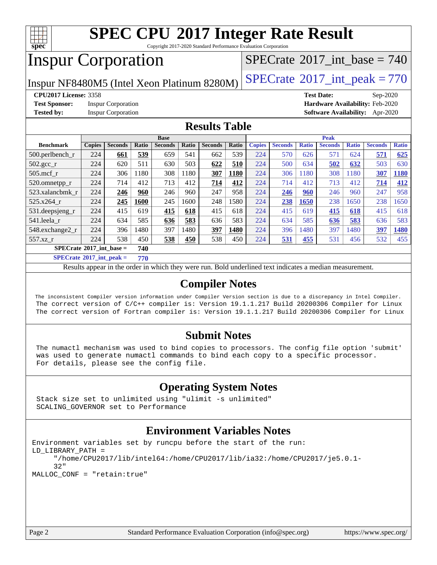

Copyright 2017-2020 Standard Performance Evaluation Corporation

## Inspur Corporation

 $SPECTate$ <sup>®</sup>[2017\\_int\\_base =](http://www.spec.org/auto/cpu2017/Docs/result-fields.html#SPECrate2017intbase) 740

Inspur NF8480M5 (Intel Xeon Platinum 8280M)  $\left|$  [SPECrate](http://www.spec.org/auto/cpu2017/Docs/result-fields.html#SPECrate2017intpeak)®[2017\\_int\\_peak = 7](http://www.spec.org/auto/cpu2017/Docs/result-fields.html#SPECrate2017intpeak)70

**[Test Sponsor:](http://www.spec.org/auto/cpu2017/Docs/result-fields.html#TestSponsor)** Inspur Corporation **[Hardware Availability:](http://www.spec.org/auto/cpu2017/Docs/result-fields.html#HardwareAvailability)** Feb-2020

**[CPU2017 License:](http://www.spec.org/auto/cpu2017/Docs/result-fields.html#CPU2017License)** 3358 **[Test Date:](http://www.spec.org/auto/cpu2017/Docs/result-fields.html#TestDate)** Sep-2020 **[Tested by:](http://www.spec.org/auto/cpu2017/Docs/result-fields.html#Testedby)** Inspur Corporation **[Software Availability:](http://www.spec.org/auto/cpu2017/Docs/result-fields.html#SoftwareAvailability)** Apr-2020

### **[Results Table](http://www.spec.org/auto/cpu2017/Docs/result-fields.html#ResultsTable)**

| <b>Base</b>                              |                                         |                |       | <b>Peak</b>    |       |                |       |               |                |              |                |              |                |              |
|------------------------------------------|-----------------------------------------|----------------|-------|----------------|-------|----------------|-------|---------------|----------------|--------------|----------------|--------------|----------------|--------------|
| <b>Benchmark</b>                         | <b>Copies</b>                           | <b>Seconds</b> | Ratio | <b>Seconds</b> | Ratio | <b>Seconds</b> | Ratio | <b>Copies</b> | <b>Seconds</b> | <b>Ratio</b> | <b>Seconds</b> | <b>Ratio</b> | <b>Seconds</b> | <b>Ratio</b> |
| $500.$ perlbench_r                       | 224                                     | 661            | 539   | 659            | 541   | 662            | 539   | 224           | 570            | 626          | 571            | 624          | 571            | 625          |
| 502.gcc_r                                | 224                                     | 620            | 511   | 630            | 503   | 622            | 510   | 224           | 500            | 634          | 502            | 632          | 503            | 630          |
| $505$ .mcf $r$                           | 224                                     | 306            | 1180  | 308            | 180   | 307            | 1180  | 224           | 306            | 180          | 308            | 1180         | 307            | 1180         |
| 520.omnetpp_r                            | 224                                     | 714            | 412   | 713            | 412   | 714            | 412   | 224           | 714            | 412          | 713            | 412          | 714            | 412          |
| 523.xalancbmk r                          | 224                                     | 246            | 960   | 246            | 960   | 247            | 958   | 224           | 246            | 960          | 246            | 960          | 247            | 958          |
| 525.x264 r                               | 224                                     | 245            | 1600  | 245            | 1600  | 248            | 1580  | 224           | 238            | 1650         | 238            | 1650         | 238            | 1650         |
| 531.deepsjeng_r                          | 224                                     | 415            | 619   | 415            | 618   | 415            | 618   | 224           | 415            | 619          | <b>415</b>     | <u>618</u>   | 415            | 618          |
| 541.leela r                              | 224                                     | 634            | 585   | 636            | 583   | 636            | 583   | 224           | 634            | 585          | 636            | 583          | 636            | 583          |
| 548.exchange2_r                          | 224                                     | 396            | 1480  | 397            | 1480  | 397            | 1480  | 224           | 396            | 1480         | 397            | 1480         | 397            | 1480         |
| 557.xz                                   | 224                                     | 538            | 450   | 538            | 450   | 538            | 450   | 224           | 531            | 455          | 531            | 456          | 532            | 455          |
| $SPECrate^{\circ}2017$ int base =<br>740 |                                         |                |       |                |       |                |       |               |                |              |                |              |                |              |
|                                          | $CDPLO \rightarrow AAA \equiv 1$<br>--- |                |       |                |       |                |       |               |                |              |                |              |                |              |

**[SPECrate](http://www.spec.org/auto/cpu2017/Docs/result-fields.html#SPECrate2017intpeak)[2017\\_int\\_peak =](http://www.spec.org/auto/cpu2017/Docs/result-fields.html#SPECrate2017intpeak) 770**

Results appear in the [order in which they were run](http://www.spec.org/auto/cpu2017/Docs/result-fields.html#RunOrder). Bold underlined text [indicates a median measurement](http://www.spec.org/auto/cpu2017/Docs/result-fields.html#Median).

### **[Compiler Notes](http://www.spec.org/auto/cpu2017/Docs/result-fields.html#CompilerNotes)**

 The inconsistent Compiler version information under Compiler Version section is due to a discrepancy in Intel Compiler. The correct version of C/C++ compiler is: Version 19.1.1.217 Build 20200306 Compiler for Linux The correct version of Fortran compiler is: Version 19.1.1.217 Build 20200306 Compiler for Linux

### **[Submit Notes](http://www.spec.org/auto/cpu2017/Docs/result-fields.html#SubmitNotes)**

 The numactl mechanism was used to bind copies to processors. The config file option 'submit' was used to generate numactl commands to bind each copy to a specific processor. For details, please see the config file.

## **[Operating System Notes](http://www.spec.org/auto/cpu2017/Docs/result-fields.html#OperatingSystemNotes)**

 Stack size set to unlimited using "ulimit -s unlimited" SCALING\_GOVERNOR set to Performance

### **[Environment Variables Notes](http://www.spec.org/auto/cpu2017/Docs/result-fields.html#EnvironmentVariablesNotes)**

```
Environment variables set by runcpu before the start of the run:
LD_LIBRARY_PATH =
      "/home/CPU2017/lib/intel64:/home/CPU2017/lib/ia32:/home/CPU2017/je5.0.1-
      32"
MALLOC_CONF = "retain:true"
```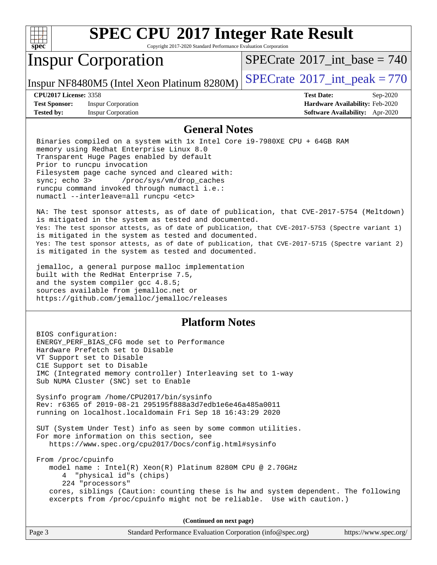

Copyright 2017-2020 Standard Performance Evaluation Corporation

## Inspur Corporation

 $SPECrate$ <sup>®</sup>[2017\\_int\\_base =](http://www.spec.org/auto/cpu2017/Docs/result-fields.html#SPECrate2017intbase) 740

Inspur NF8480M5 (Intel Xeon Platinum 8280M)  $\left|$  [SPECrate](http://www.spec.org/auto/cpu2017/Docs/result-fields.html#SPECrate2017intpeak)<sup>®</sup>[2017\\_int\\_peak = 7](http://www.spec.org/auto/cpu2017/Docs/result-fields.html#SPECrate2017intpeak)70

**[Test Sponsor:](http://www.spec.org/auto/cpu2017/Docs/result-fields.html#TestSponsor)** Inspur Corporation **[Hardware Availability:](http://www.spec.org/auto/cpu2017/Docs/result-fields.html#HardwareAvailability)** Feb-2020 **[Tested by:](http://www.spec.org/auto/cpu2017/Docs/result-fields.html#Testedby)** Inspur Corporation **[Software Availability:](http://www.spec.org/auto/cpu2017/Docs/result-fields.html#SoftwareAvailability)** Apr-2020

**[CPU2017 License:](http://www.spec.org/auto/cpu2017/Docs/result-fields.html#CPU2017License)** 3358 **[Test Date:](http://www.spec.org/auto/cpu2017/Docs/result-fields.html#TestDate)** Sep-2020

### **[General Notes](http://www.spec.org/auto/cpu2017/Docs/result-fields.html#GeneralNotes)**

 Binaries compiled on a system with 1x Intel Core i9-7980XE CPU + 64GB RAM memory using Redhat Enterprise Linux 8.0 Transparent Huge Pages enabled by default Prior to runcpu invocation Filesystem page cache synced and cleared with: sync; echo 3> /proc/sys/vm/drop\_caches runcpu command invoked through numactl i.e.: numactl --interleave=all runcpu <etc>

 NA: The test sponsor attests, as of date of publication, that CVE-2017-5754 (Meltdown) is mitigated in the system as tested and documented. Yes: The test sponsor attests, as of date of publication, that CVE-2017-5753 (Spectre variant 1) is mitigated in the system as tested and documented. Yes: The test sponsor attests, as of date of publication, that CVE-2017-5715 (Spectre variant 2) is mitigated in the system as tested and documented.

 jemalloc, a general purpose malloc implementation built with the RedHat Enterprise 7.5, and the system compiler gcc 4.8.5; sources available from jemalloc.net or <https://github.com/jemalloc/jemalloc/releases>

### **[Platform Notes](http://www.spec.org/auto/cpu2017/Docs/result-fields.html#PlatformNotes)**

 BIOS configuration: ENERGY\_PERF\_BIAS\_CFG mode set to Performance Hardware Prefetch set to Disable VT Support set to Disable C1E Support set to Disable IMC (Integrated memory controller) Interleaving set to 1-way Sub NUMA Cluster (SNC) set to Enable Sysinfo program /home/CPU2017/bin/sysinfo Rev: r6365 of 2019-08-21 295195f888a3d7edb1e6e46a485a0011 running on localhost.localdomain Fri Sep 18 16:43:29 2020 SUT (System Under Test) info as seen by some common utilities. For more information on this section, see <https://www.spec.org/cpu2017/Docs/config.html#sysinfo> From /proc/cpuinfo model name : Intel(R) Xeon(R) Platinum 8280M CPU @ 2.70GHz 4 "physical id"s (chips) 224 "processors" cores, siblings (Caution: counting these is hw and system dependent. The following excerpts from /proc/cpuinfo might not be reliable. Use with caution.)

**(Continued on next page)**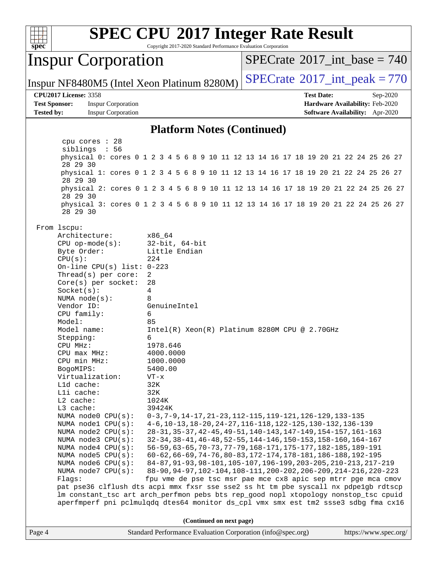

Copyright 2017-2020 Standard Performance Evaluation Corporation

## Inspur Corporation

 $SPECTate$ <sup>®</sup>[2017\\_int\\_base =](http://www.spec.org/auto/cpu2017/Docs/result-fields.html#SPECrate2017intbase) 740

Inspur NF8480M5 (Intel Xeon Platinum 8280M)  $\left|$  [SPECrate](http://www.spec.org/auto/cpu2017/Docs/result-fields.html#SPECrate2017intpeak)<sup>®</sup>[2017\\_int\\_peak = 7](http://www.spec.org/auto/cpu2017/Docs/result-fields.html#SPECrate2017intpeak)70

### **[CPU2017 License:](http://www.spec.org/auto/cpu2017/Docs/result-fields.html#CPU2017License)** 3358 **[Test Date:](http://www.spec.org/auto/cpu2017/Docs/result-fields.html#TestDate)** Sep-2020

**[Test Sponsor:](http://www.spec.org/auto/cpu2017/Docs/result-fields.html#TestSponsor)** Inspur Corporation **[Hardware Availability:](http://www.spec.org/auto/cpu2017/Docs/result-fields.html#HardwareAvailability)** Feb-2020 **[Tested by:](http://www.spec.org/auto/cpu2017/Docs/result-fields.html#Testedby)** Inspur Corporation **[Software Availability:](http://www.spec.org/auto/cpu2017/Docs/result-fields.html#SoftwareAvailability)** Apr-2020

### **[Platform Notes \(Continued\)](http://www.spec.org/auto/cpu2017/Docs/result-fields.html#PlatformNotes)**

 cpu cores : 28 siblings : 56 physical 0: cores 0 1 2 3 4 5 6 8 9 10 11 12 13 14 16 17 18 19 20 21 22 24 25 26 27 28 29 30 physical 1: cores 0 1 2 3 4 5 6 8 9 10 11 12 13 14 16 17 18 19 20 21 22 24 25 26 27 28 29 30 physical 2: cores 0 1 2 3 4 5 6 8 9 10 11 12 13 14 16 17 18 19 20 21 22 24 25 26 27 28 29 30 physical 3: cores 0 1 2 3 4 5 6 8 9 10 11 12 13 14 16 17 18 19 20 21 22 24 25 26 27 28 29 30 From lscpu: Architecture: x86\_64 CPU op-mode(s): 32-bit, 64-bit Byte Order: Little Endian  $CPU(s):$  224 On-line CPU(s) list: 0-223 Thread(s) per core: 2 Core(s) per socket: 28 Socket(s): 4 NUMA node(s): 8 Vendor ID: GenuineIntel CPU family: 6 Model: 85 Model name: Intel(R) Xeon(R) Platinum 8280M CPU @ 2.70GHz Stepping: 6 CPU MHz: 1978.646 CPU max MHz: 4000.0000 CPU min MHz: 1000.0000 BogoMIPS: 5400.00 Virtualization: VT-x L1d cache: 32K L1i cache: 32K L2 cache: 1024K L3 cache: 39424K NUMA node0 CPU(s): 0-3,7-9,14-17,21-23,112-115,119-121,126-129,133-135<br>NUMA node1 CPU(s): 4-6,10-13,18-20,24-27,116-118,122-125,130-132,136-1 4-6,10-13,18-20,24-27,116-118,122-125,130-132,136-139 NUMA node2 CPU(s): 28-31,35-37,42-45,49-51,140-143,147-149,154-157,161-163 NUMA node3 CPU(s): 32-34,38-41,46-48,52-55,144-146,150-153,158-160,164-167 NUMA node4 CPU(s): 56-59,63-65,70-73,77-79,168-171,175-177,182-185,189-191 NUMA node5 CPU(s): 60-62,66-69,74-76,80-83,172-174,178-181,186-188,192-195 NUMA node6 CPU(s): 84-87,91-93,98-101,105-107,196-199,203-205,210-213,217-219 NUMA node7 CPU(s): 88-90,94-97,102-104,108-111,200-202,206-209,214-216,220-223 Flags: fpu vme de pse tsc msr pae mce cx8 apic sep mtrr pge mca cmov pat pse36 clflush dts acpi mmx fxsr sse sse2 ss ht tm pbe syscall nx pdpe1gb rdtscp lm constant\_tsc art arch\_perfmon pebs bts rep\_good nopl xtopology nonstop\_tsc cpuid aperfmperf pni pclmulqdq dtes64 monitor ds\_cpl vmx smx est tm2 ssse3 sdbg fma cx16 **(Continued on next page)**

| Page 4 | Standard Performance Evaluation Corporation (info@spec.org) | https://www.spec.org/ |
|--------|-------------------------------------------------------------|-----------------------|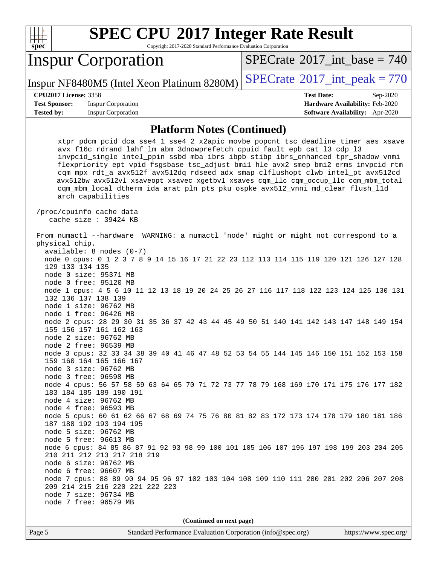

Copyright 2017-2020 Standard Performance Evaluation Corporation

## Inspur Corporation

 $SPECTate$ <sup>®</sup>[2017\\_int\\_base =](http://www.spec.org/auto/cpu2017/Docs/result-fields.html#SPECrate2017intbase) 740

Inspur NF8480M5 (Intel Xeon Platinum 8280M)  $\left|$  [SPECrate](http://www.spec.org/auto/cpu2017/Docs/result-fields.html#SPECrate2017intpeak)<sup>®</sup>[2017\\_int\\_peak = 7](http://www.spec.org/auto/cpu2017/Docs/result-fields.html#SPECrate2017intpeak)70

### **[CPU2017 License:](http://www.spec.org/auto/cpu2017/Docs/result-fields.html#CPU2017License)** 3358 **[Test Date:](http://www.spec.org/auto/cpu2017/Docs/result-fields.html#TestDate)** Sep-2020

**[Test Sponsor:](http://www.spec.org/auto/cpu2017/Docs/result-fields.html#TestSponsor)** Inspur Corporation **[Hardware Availability:](http://www.spec.org/auto/cpu2017/Docs/result-fields.html#HardwareAvailability)** Feb-2020 **[Tested by:](http://www.spec.org/auto/cpu2017/Docs/result-fields.html#Testedby)** Inspur Corporation **[Software Availability:](http://www.spec.org/auto/cpu2017/Docs/result-fields.html#SoftwareAvailability)** Apr-2020

### **[Platform Notes \(Continued\)](http://www.spec.org/auto/cpu2017/Docs/result-fields.html#PlatformNotes)**

**(Continued on next page)**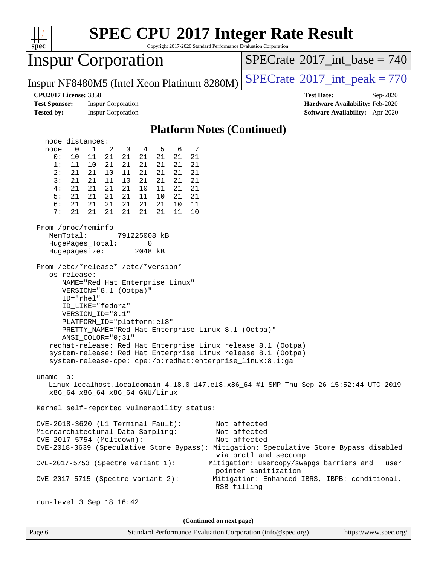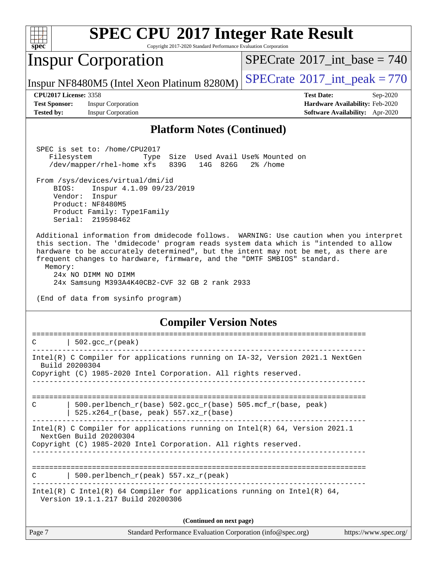

Copyright 2017-2020 Standard Performance Evaluation Corporation

## Inspur Corporation

 $SPECTate$ <sup>®</sup>[2017\\_int\\_base =](http://www.spec.org/auto/cpu2017/Docs/result-fields.html#SPECrate2017intbase) 740

Inspur NF8480M5 (Intel Xeon Platinum 8280M)  $\left|$  [SPECrate](http://www.spec.org/auto/cpu2017/Docs/result-fields.html#SPECrate2017intpeak)<sup>®</sup>[2017\\_int\\_peak = 7](http://www.spec.org/auto/cpu2017/Docs/result-fields.html#SPECrate2017intpeak)70

**[Test Sponsor:](http://www.spec.org/auto/cpu2017/Docs/result-fields.html#TestSponsor)** Inspur Corporation **[Hardware Availability:](http://www.spec.org/auto/cpu2017/Docs/result-fields.html#HardwareAvailability)** Feb-2020 **[Tested by:](http://www.spec.org/auto/cpu2017/Docs/result-fields.html#Testedby)** Inspur Corporation **[Software Availability:](http://www.spec.org/auto/cpu2017/Docs/result-fields.html#SoftwareAvailability)** Apr-2020

**[CPU2017 License:](http://www.spec.org/auto/cpu2017/Docs/result-fields.html#CPU2017License)** 3358 **[Test Date:](http://www.spec.org/auto/cpu2017/Docs/result-fields.html#TestDate)** Sep-2020

### **[Platform Notes \(Continued\)](http://www.spec.org/auto/cpu2017/Docs/result-fields.html#PlatformNotes)**

 SPEC is set to: /home/CPU2017 Filesystem Type Size Used Avail Use% Mounted on /dev/mapper/rhel-home xfs 839G 14G 826G 2% /home

 From /sys/devices/virtual/dmi/id BIOS: Inspur 4.1.09 09/23/2019 Vendor: Inspur Product: NF8480M5 Product Family: Type1Family Serial: 219598462

 Additional information from dmidecode follows. WARNING: Use caution when you interpret this section. The 'dmidecode' program reads system data which is "intended to allow hardware to be accurately determined", but the intent may not be met, as there are frequent changes to hardware, firmware, and the "DMTF SMBIOS" standard. Memory:

 24x NO DIMM NO DIMM 24x Samsung M393A4K40CB2-CVF 32 GB 2 rank 2933

(End of data from sysinfo program)

### **[Compiler Version Notes](http://www.spec.org/auto/cpu2017/Docs/result-fields.html#CompilerVersionNotes)**

| Intel(R) C Compiler for applications running on IA-32, Version 2021.1 NextGen<br>Build 20200304<br>Copyright (C) 1985-2020 Intel Corporation. All rights reserved.<br>500.perlbench $r(base)$ 502.qcc $r(base)$ 505.mcf $r(base, peak)$<br>C<br>$525.x264_r(base, peak) 557.xz_r(base)$<br>Intel(R) C Compiler for applications running on Intel(R) $64$ , Version 2021.1<br>NextGen Build 20200304<br>Copyright (C) 1985-2020 Intel Corporation. All rights reserved.<br>500.perlbench $r(\text{peak})$ 557.xz $r(\text{peak})$<br>$\mathcal{C}$<br>Intel(R) C Intel(R) 64 Compiler for applications running on Intel(R) 64,<br>Version 19.1.1.217 Build 20200306<br>(Continued on next page) | 502.gcc $r(\text{peak})$<br>C |  |  |  |
|------------------------------------------------------------------------------------------------------------------------------------------------------------------------------------------------------------------------------------------------------------------------------------------------------------------------------------------------------------------------------------------------------------------------------------------------------------------------------------------------------------------------------------------------------------------------------------------------------------------------------------------------------------------------------------------------|-------------------------------|--|--|--|
|                                                                                                                                                                                                                                                                                                                                                                                                                                                                                                                                                                                                                                                                                                |                               |  |  |  |
|                                                                                                                                                                                                                                                                                                                                                                                                                                                                                                                                                                                                                                                                                                |                               |  |  |  |
|                                                                                                                                                                                                                                                                                                                                                                                                                                                                                                                                                                                                                                                                                                |                               |  |  |  |
|                                                                                                                                                                                                                                                                                                                                                                                                                                                                                                                                                                                                                                                                                                |                               |  |  |  |
|                                                                                                                                                                                                                                                                                                                                                                                                                                                                                                                                                                                                                                                                                                |                               |  |  |  |
|                                                                                                                                                                                                                                                                                                                                                                                                                                                                                                                                                                                                                                                                                                |                               |  |  |  |
|                                                                                                                                                                                                                                                                                                                                                                                                                                                                                                                                                                                                                                                                                                |                               |  |  |  |
|                                                                                                                                                                                                                                                                                                                                                                                                                                                                                                                                                                                                                                                                                                |                               |  |  |  |
|                                                                                                                                                                                                                                                                                                                                                                                                                                                                                                                                                                                                                                                                                                |                               |  |  |  |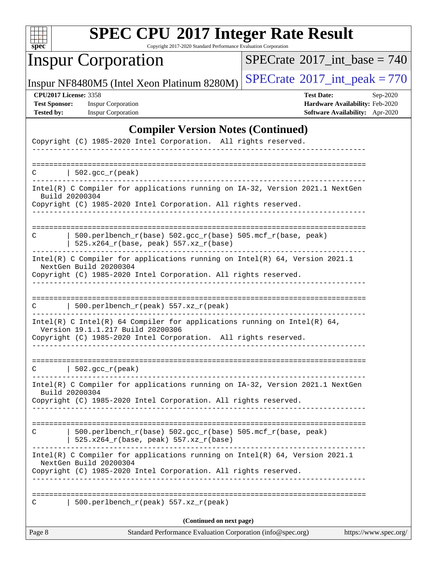

Copyright 2017-2020 Standard Performance Evaluation Corporation

# Inspur Corporation

 $SPECrate$ <sup>®</sup>[2017\\_int\\_base =](http://www.spec.org/auto/cpu2017/Docs/result-fields.html#SPECrate2017intbase) 740

Inspur NF8480M5 (Intel Xeon Platinum 8280M)  $\left|$  [SPECrate](http://www.spec.org/auto/cpu2017/Docs/result-fields.html#SPECrate2017intpeak)<sup>®</sup>[2017\\_int\\_peak = 7](http://www.spec.org/auto/cpu2017/Docs/result-fields.html#SPECrate2017intpeak)70

**[Test Sponsor:](http://www.spec.org/auto/cpu2017/Docs/result-fields.html#TestSponsor)** Inspur Corporation **[Hardware Availability:](http://www.spec.org/auto/cpu2017/Docs/result-fields.html#HardwareAvailability)** Feb-2020

**[CPU2017 License:](http://www.spec.org/auto/cpu2017/Docs/result-fields.html#CPU2017License)** 3358 **[Test Date:](http://www.spec.org/auto/cpu2017/Docs/result-fields.html#TestDate)** Sep-2020 **[Tested by:](http://www.spec.org/auto/cpu2017/Docs/result-fields.html#Testedby)** Inspur Corporation **[Software Availability:](http://www.spec.org/auto/cpu2017/Docs/result-fields.html#SoftwareAvailability)** Apr-2020

### **[Compiler Version Notes \(Continued\)](http://www.spec.org/auto/cpu2017/Docs/result-fields.html#CompilerVersionNotes)**

| Page 8 | Standard Performance Evaluation Corporation (info@spec.org)                                                                                                                              | https://www.spec.org/ |
|--------|------------------------------------------------------------------------------------------------------------------------------------------------------------------------------------------|-----------------------|
|        | (Continued on next page)                                                                                                                                                                 |                       |
| C      | 500.perlbench_r(peak) 557.xz_r(peak)                                                                                                                                                     |                       |
|        | Intel(R) C Compiler for applications running on Intel(R) 64, Version 2021.1<br>NextGen Build 20200304<br>Copyright (C) 1985-2020 Intel Corporation. All rights reserved.                 |                       |
| C      | 500.perlbench_r(base) 502.gcc_r(base) 505.mcf_r(base, peak)<br>525.x264_r(base, peak) 557.xz_r(base)                                                                                     |                       |
|        | Intel(R) C Compiler for applications running on IA-32, Version 2021.1 NextGen<br>Build 20200304<br>Copyright (C) 1985-2020 Intel Corporation. All rights reserved.                       |                       |
| C      | $\vert$ 502.gcc_r(peak)                                                                                                                                                                  |                       |
|        | Intel(R) C Intel(R) 64 Compiler for applications running on Intel(R) 64,<br>Version 19.1.1.217 Build 20200306<br>Copyright (C) 1985-2020 Intel Corporation. All rights reserved.         |                       |
| C      | $500.perlbench_r(peak) 557. xz_r(peak)$                                                                                                                                                  |                       |
|        | NextGen Build 20200304<br>Copyright (C) 1985-2020 Intel Corporation. All rights reserved.                                                                                                |                       |
| C      | 500.perlbench_r(base) 502.gcc_r(base) 505.mcf_r(base, peak)<br>$525.x264_r(base, peak) 557.xz_r(base)$<br>Intel(R) C Compiler for applications running on $Intel(R) 64$ , Version 2021.1 |                       |
|        | Intel(R) C Compiler for applications running on IA-32, Version 2021.1 NextGen<br>Build 20200304<br>Copyright (C) 1985-2020 Intel Corporation. All rights reserved.                       |                       |
|        | $C$   502.gcc_r(peak)                                                                                                                                                                    |                       |
|        |                                                                                                                                                                                          |                       |
|        | Copyright (C) 1985-2020 Intel Corporation. All rights reserved.                                                                                                                          |                       |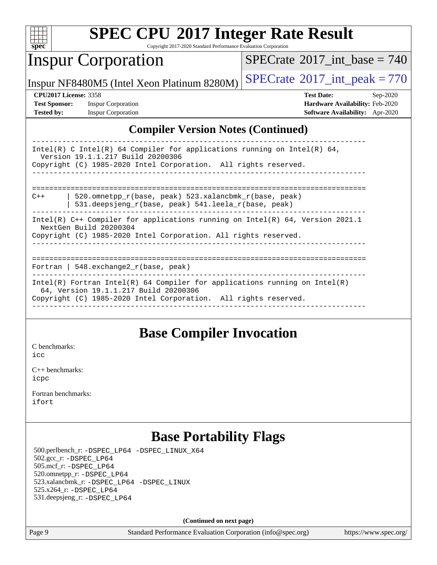

Copyright 2017-2020 Standard Performance Evaluation Corporation

## Inspur Corporation

 $SPECTate$ <sup>®</sup>[2017\\_int\\_base =](http://www.spec.org/auto/cpu2017/Docs/result-fields.html#SPECrate2017intbase) 740

Inspur NF8480M5 (Intel Xeon Platinum 8280M)  $\left|$  [SPECrate](http://www.spec.org/auto/cpu2017/Docs/result-fields.html#SPECrate2017intpeak)<sup>®</sup>[2017\\_int\\_peak = 7](http://www.spec.org/auto/cpu2017/Docs/result-fields.html#SPECrate2017intpeak)70

**[Tested by:](http://www.spec.org/auto/cpu2017/Docs/result-fields.html#Testedby)** Inspur Corporation **[Software Availability:](http://www.spec.org/auto/cpu2017/Docs/result-fields.html#SoftwareAvailability)** Apr-2020

**[CPU2017 License:](http://www.spec.org/auto/cpu2017/Docs/result-fields.html#CPU2017License)** 3358 **[Test Date:](http://www.spec.org/auto/cpu2017/Docs/result-fields.html#TestDate)** Sep-2020 **[Test Sponsor:](http://www.spec.org/auto/cpu2017/Docs/result-fields.html#TestSponsor)** Inspur Corporation **[Hardware Availability:](http://www.spec.org/auto/cpu2017/Docs/result-fields.html#HardwareAvailability)** Feb-2020

### **[Compiler Version Notes \(Continued\)](http://www.spec.org/auto/cpu2017/Docs/result-fields.html#CompilerVersionNotes)**

| Intel(R) C Intel(R) 64 Compiler for applications running on Intel(R) 64,<br>Version 19.1.1.217 Build 20200306<br>Copyright (C) 1985-2020 Intel Corporation. All rights reserved. |  |  |  |  |  |
|----------------------------------------------------------------------------------------------------------------------------------------------------------------------------------|--|--|--|--|--|
|                                                                                                                                                                                  |  |  |  |  |  |
| 520.omnetpp r(base, peak) 523.xalancbmk r(base, peak)<br>$C++$<br>531.deepsjeng_r(base, peak) 541.leela_r(base, peak)                                                            |  |  |  |  |  |
| Intel(R) $C++$ Compiler for applications running on Intel(R) 64, Version 2021.1                                                                                                  |  |  |  |  |  |
| NextGen Build 20200304                                                                                                                                                           |  |  |  |  |  |
| Copyright (C) 1985-2020 Intel Corporation. All rights reserved.                                                                                                                  |  |  |  |  |  |
|                                                                                                                                                                                  |  |  |  |  |  |
|                                                                                                                                                                                  |  |  |  |  |  |
|                                                                                                                                                                                  |  |  |  |  |  |
| Fortran   548. $exchange2 r(base, peak)$                                                                                                                                         |  |  |  |  |  |
| Intel(R) Fortran Intel(R) 64 Compiler for applications running on Intel(R)                                                                                                       |  |  |  |  |  |
| 64, Version 19.1.1.217 Build 20200306                                                                                                                                            |  |  |  |  |  |
| Copyright (C) 1985-2020 Intel Corporation. All rights reserved.                                                                                                                  |  |  |  |  |  |
|                                                                                                                                                                                  |  |  |  |  |  |

## **[Base Compiler Invocation](http://www.spec.org/auto/cpu2017/Docs/result-fields.html#BaseCompilerInvocation)**

[C benchmarks](http://www.spec.org/auto/cpu2017/Docs/result-fields.html#Cbenchmarks):

[icc](http://www.spec.org/cpu2017/results/res2020q4/cpu2017-20200928-24047.flags.html#user_CCbase_intel_icc_66fc1ee009f7361af1fbd72ca7dcefbb700085f36577c54f309893dd4ec40d12360134090235512931783d35fd58c0460139e722d5067c5574d8eaf2b3e37e92)

[C++ benchmarks:](http://www.spec.org/auto/cpu2017/Docs/result-fields.html#CXXbenchmarks) [icpc](http://www.spec.org/cpu2017/results/res2020q4/cpu2017-20200928-24047.flags.html#user_CXXbase_intel_icpc_c510b6838c7f56d33e37e94d029a35b4a7bccf4766a728ee175e80a419847e808290a9b78be685c44ab727ea267ec2f070ec5dc83b407c0218cded6866a35d07)

[Fortran benchmarks](http://www.spec.org/auto/cpu2017/Docs/result-fields.html#Fortranbenchmarks): [ifort](http://www.spec.org/cpu2017/results/res2020q4/cpu2017-20200928-24047.flags.html#user_FCbase_intel_ifort_8111460550e3ca792625aed983ce982f94888b8b503583aa7ba2b8303487b4d8a21a13e7191a45c5fd58ff318f48f9492884d4413fa793fd88dd292cad7027ca)

## **[Base Portability Flags](http://www.spec.org/auto/cpu2017/Docs/result-fields.html#BasePortabilityFlags)**

 500.perlbench\_r: [-DSPEC\\_LP64](http://www.spec.org/cpu2017/results/res2020q4/cpu2017-20200928-24047.flags.html#b500.perlbench_r_basePORTABILITY_DSPEC_LP64) [-DSPEC\\_LINUX\\_X64](http://www.spec.org/cpu2017/results/res2020q4/cpu2017-20200928-24047.flags.html#b500.perlbench_r_baseCPORTABILITY_DSPEC_LINUX_X64) 502.gcc\_r: [-DSPEC\\_LP64](http://www.spec.org/cpu2017/results/res2020q4/cpu2017-20200928-24047.flags.html#suite_basePORTABILITY502_gcc_r_DSPEC_LP64) 505.mcf\_r: [-DSPEC\\_LP64](http://www.spec.org/cpu2017/results/res2020q4/cpu2017-20200928-24047.flags.html#suite_basePORTABILITY505_mcf_r_DSPEC_LP64) 520.omnetpp\_r: [-DSPEC\\_LP64](http://www.spec.org/cpu2017/results/res2020q4/cpu2017-20200928-24047.flags.html#suite_basePORTABILITY520_omnetpp_r_DSPEC_LP64) 523.xalancbmk\_r: [-DSPEC\\_LP64](http://www.spec.org/cpu2017/results/res2020q4/cpu2017-20200928-24047.flags.html#suite_basePORTABILITY523_xalancbmk_r_DSPEC_LP64) [-DSPEC\\_LINUX](http://www.spec.org/cpu2017/results/res2020q4/cpu2017-20200928-24047.flags.html#b523.xalancbmk_r_baseCXXPORTABILITY_DSPEC_LINUX) 525.x264\_r: [-DSPEC\\_LP64](http://www.spec.org/cpu2017/results/res2020q4/cpu2017-20200928-24047.flags.html#suite_basePORTABILITY525_x264_r_DSPEC_LP64) 531.deepsjeng\_r: [-DSPEC\\_LP64](http://www.spec.org/cpu2017/results/res2020q4/cpu2017-20200928-24047.flags.html#suite_basePORTABILITY531_deepsjeng_r_DSPEC_LP64)

**(Continued on next page)**

Page 9 Standard Performance Evaluation Corporation [\(info@spec.org\)](mailto:info@spec.org) <https://www.spec.org/>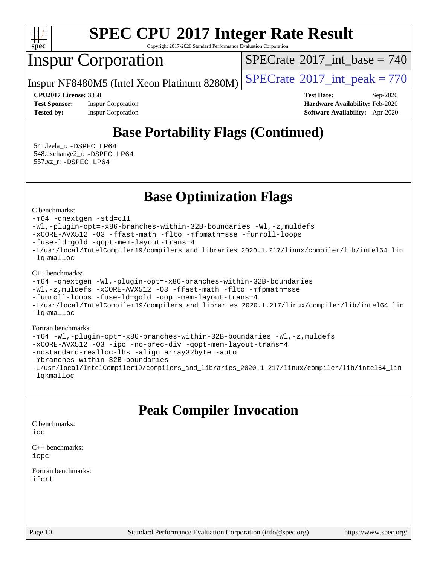

Copyright 2017-2020 Standard Performance Evaluation Corporation

## Inspur Corporation

 $SPECTate$ <sup>®</sup>[2017\\_int\\_base =](http://www.spec.org/auto/cpu2017/Docs/result-fields.html#SPECrate2017intbase) 740

Inspur NF8480M5 (Intel Xeon Platinum 8280M)  $\left|$  [SPECrate](http://www.spec.org/auto/cpu2017/Docs/result-fields.html#SPECrate2017intpeak)<sup>®</sup>[2017\\_int\\_peak = 7](http://www.spec.org/auto/cpu2017/Docs/result-fields.html#SPECrate2017intpeak)70

**[CPU2017 License:](http://www.spec.org/auto/cpu2017/Docs/result-fields.html#CPU2017License)** 3358 **[Test Date:](http://www.spec.org/auto/cpu2017/Docs/result-fields.html#TestDate)** Sep-2020 **[Test Sponsor:](http://www.spec.org/auto/cpu2017/Docs/result-fields.html#TestSponsor)** Inspur Corporation **[Hardware Availability:](http://www.spec.org/auto/cpu2017/Docs/result-fields.html#HardwareAvailability)** Feb-2020 **[Tested by:](http://www.spec.org/auto/cpu2017/Docs/result-fields.html#Testedby)** Inspur Corporation **[Software Availability:](http://www.spec.org/auto/cpu2017/Docs/result-fields.html#SoftwareAvailability)** Apr-2020

## **[Base Portability Flags \(Continued\)](http://www.spec.org/auto/cpu2017/Docs/result-fields.html#BasePortabilityFlags)**

 541.leela\_r: [-DSPEC\\_LP64](http://www.spec.org/cpu2017/results/res2020q4/cpu2017-20200928-24047.flags.html#suite_basePORTABILITY541_leela_r_DSPEC_LP64) 548.exchange2\_r: [-DSPEC\\_LP64](http://www.spec.org/cpu2017/results/res2020q4/cpu2017-20200928-24047.flags.html#suite_basePORTABILITY548_exchange2_r_DSPEC_LP64) 557.xz\_r: [-DSPEC\\_LP64](http://www.spec.org/cpu2017/results/res2020q4/cpu2017-20200928-24047.flags.html#suite_basePORTABILITY557_xz_r_DSPEC_LP64)

**[Base Optimization Flags](http://www.spec.org/auto/cpu2017/Docs/result-fields.html#BaseOptimizationFlags)**

[C benchmarks](http://www.spec.org/auto/cpu2017/Docs/result-fields.html#Cbenchmarks):

[-m64](http://www.spec.org/cpu2017/results/res2020q4/cpu2017-20200928-24047.flags.html#user_CCbase_m64-icc) [-qnextgen](http://www.spec.org/cpu2017/results/res2020q4/cpu2017-20200928-24047.flags.html#user_CCbase_f-qnextgen) [-std=c11](http://www.spec.org/cpu2017/results/res2020q4/cpu2017-20200928-24047.flags.html#user_CCbase_std-icc-std_0e1c27790398a4642dfca32ffe6c27b5796f9c2d2676156f2e42c9c44eaad0c049b1cdb667a270c34d979996257aeb8fc440bfb01818dbc9357bd9d174cb8524) [-Wl,-plugin-opt=-x86-branches-within-32B-boundaries](http://www.spec.org/cpu2017/results/res2020q4/cpu2017-20200928-24047.flags.html#user_CCbase_f-x86-branches-within-32B-boundaries_0098b4e4317ae60947b7b728078a624952a08ac37a3c797dfb4ffeb399e0c61a9dd0f2f44ce917e9361fb9076ccb15e7824594512dd315205382d84209e912f3) [-Wl,-z,muldefs](http://www.spec.org/cpu2017/results/res2020q4/cpu2017-20200928-24047.flags.html#user_CCbase_link_force_multiple1_b4cbdb97b34bdee9ceefcfe54f4c8ea74255f0b02a4b23e853cdb0e18eb4525ac79b5a88067c842dd0ee6996c24547a27a4b99331201badda8798ef8a743f577) [-xCORE-AVX512](http://www.spec.org/cpu2017/results/res2020q4/cpu2017-20200928-24047.flags.html#user_CCbase_f-xCORE-AVX512) [-O3](http://www.spec.org/cpu2017/results/res2020q4/cpu2017-20200928-24047.flags.html#user_CCbase_f-O3) [-ffast-math](http://www.spec.org/cpu2017/results/res2020q4/cpu2017-20200928-24047.flags.html#user_CCbase_f-ffast-math) [-flto](http://www.spec.org/cpu2017/results/res2020q4/cpu2017-20200928-24047.flags.html#user_CCbase_f-flto) [-mfpmath=sse](http://www.spec.org/cpu2017/results/res2020q4/cpu2017-20200928-24047.flags.html#user_CCbase_f-mfpmath_70eb8fac26bde974f8ab713bc9086c5621c0b8d2f6c86f38af0bd7062540daf19db5f3a066d8c6684be05d84c9b6322eb3b5be6619d967835195b93d6c02afa1) [-funroll-loops](http://www.spec.org/cpu2017/results/res2020q4/cpu2017-20200928-24047.flags.html#user_CCbase_f-funroll-loops) [-fuse-ld=gold](http://www.spec.org/cpu2017/results/res2020q4/cpu2017-20200928-24047.flags.html#user_CCbase_f-fuse-ld_920b3586e2b8c6e0748b9c84fa9b744736ba725a32cab14ad8f3d4ad28eecb2f59d1144823d2e17006539a88734fe1fc08fc3035f7676166309105a78aaabc32) [-qopt-mem-layout-trans=4](http://www.spec.org/cpu2017/results/res2020q4/cpu2017-20200928-24047.flags.html#user_CCbase_f-qopt-mem-layout-trans_fa39e755916c150a61361b7846f310bcdf6f04e385ef281cadf3647acec3f0ae266d1a1d22d972a7087a248fd4e6ca390a3634700869573d231a252c784941a8) [-L/usr/local/IntelCompiler19/compilers\\_and\\_libraries\\_2020.1.217/linux/compiler/lib/intel64\\_lin](http://www.spec.org/cpu2017/results/res2020q4/cpu2017-20200928-24047.flags.html#user_CCbase_linkpath_2cb6f503891ebf8baee7515f4e7d4ec1217444d1d05903cc0091ac4158de400651d2b2313a9fa414cb8a8f0e16ab029634f5c6db340f400369c190d4db8a54a0) [-lqkmalloc](http://www.spec.org/cpu2017/results/res2020q4/cpu2017-20200928-24047.flags.html#user_CCbase_qkmalloc_link_lib_79a818439969f771c6bc311cfd333c00fc099dad35c030f5aab9dda831713d2015205805422f83de8875488a2991c0a156aaa600e1f9138f8fc37004abc96dc5)

[C++ benchmarks](http://www.spec.org/auto/cpu2017/Docs/result-fields.html#CXXbenchmarks):

```
-m64 -qnextgen -Wl,-plugin-opt=-x86-branches-within-32B-boundaries
-Wl,-z,muldefs -xCORE-AVX512 -O3 -ffast-math -flto -mfpmath=sse
-funroll-loops -fuse-ld=gold -qopt-mem-layout-trans=4
-L/usr/local/IntelCompiler19/compilers_and_libraries_2020.1.217/linux/compiler/lib/intel64_lin
-lqkmalloc
```
### [Fortran benchmarks:](http://www.spec.org/auto/cpu2017/Docs/result-fields.html#Fortranbenchmarks) [-m64](http://www.spec.org/cpu2017/results/res2020q4/cpu2017-20200928-24047.flags.html#user_FCbase_m64-icc) [-Wl,-plugin-opt=-x86-branches-within-32B-boundaries](http://www.spec.org/cpu2017/results/res2020q4/cpu2017-20200928-24047.flags.html#user_FCbase_f-x86-branches-within-32B-boundaries_0098b4e4317ae60947b7b728078a624952a08ac37a3c797dfb4ffeb399e0c61a9dd0f2f44ce917e9361fb9076ccb15e7824594512dd315205382d84209e912f3) [-Wl,-z,muldefs](http://www.spec.org/cpu2017/results/res2020q4/cpu2017-20200928-24047.flags.html#user_FCbase_link_force_multiple1_b4cbdb97b34bdee9ceefcfe54f4c8ea74255f0b02a4b23e853cdb0e18eb4525ac79b5a88067c842dd0ee6996c24547a27a4b99331201badda8798ef8a743f577) [-xCORE-AVX512](http://www.spec.org/cpu2017/results/res2020q4/cpu2017-20200928-24047.flags.html#user_FCbase_f-xCORE-AVX512) [-O3](http://www.spec.org/cpu2017/results/res2020q4/cpu2017-20200928-24047.flags.html#user_FCbase_f-O3) [-ipo](http://www.spec.org/cpu2017/results/res2020q4/cpu2017-20200928-24047.flags.html#user_FCbase_f-ipo) [-no-prec-div](http://www.spec.org/cpu2017/results/res2020q4/cpu2017-20200928-24047.flags.html#user_FCbase_f-no-prec-div) [-qopt-mem-layout-trans=4](http://www.spec.org/cpu2017/results/res2020q4/cpu2017-20200928-24047.flags.html#user_FCbase_f-qopt-mem-layout-trans_fa39e755916c150a61361b7846f310bcdf6f04e385ef281cadf3647acec3f0ae266d1a1d22d972a7087a248fd4e6ca390a3634700869573d231a252c784941a8) [-nostandard-realloc-lhs](http://www.spec.org/cpu2017/results/res2020q4/cpu2017-20200928-24047.flags.html#user_FCbase_f_2003_std_realloc_82b4557e90729c0f113870c07e44d33d6f5a304b4f63d4c15d2d0f1fab99f5daaed73bdb9275d9ae411527f28b936061aa8b9c8f2d63842963b95c9dd6426b8a) [-align array32byte](http://www.spec.org/cpu2017/results/res2020q4/cpu2017-20200928-24047.flags.html#user_FCbase_align_array32byte_b982fe038af199962ba9a80c053b8342c548c85b40b8e86eb3cc33dee0d7986a4af373ac2d51c3f7cf710a18d62fdce2948f201cd044323541f22fc0fffc51b6) [-auto](http://www.spec.org/cpu2017/results/res2020q4/cpu2017-20200928-24047.flags.html#user_FCbase_f-auto) [-mbranches-within-32B-boundaries](http://www.spec.org/cpu2017/results/res2020q4/cpu2017-20200928-24047.flags.html#user_FCbase_f-mbranches-within-32B-boundaries) [-L/usr/local/IntelCompiler19/compilers\\_and\\_libraries\\_2020.1.217/linux/compiler/lib/intel64\\_lin](http://www.spec.org/cpu2017/results/res2020q4/cpu2017-20200928-24047.flags.html#user_FCbase_linkpath_2cb6f503891ebf8baee7515f4e7d4ec1217444d1d05903cc0091ac4158de400651d2b2313a9fa414cb8a8f0e16ab029634f5c6db340f400369c190d4db8a54a0) [-lqkmalloc](http://www.spec.org/cpu2017/results/res2020q4/cpu2017-20200928-24047.flags.html#user_FCbase_qkmalloc_link_lib_79a818439969f771c6bc311cfd333c00fc099dad35c030f5aab9dda831713d2015205805422f83de8875488a2991c0a156aaa600e1f9138f8fc37004abc96dc5)

## **[Peak Compiler Invocation](http://www.spec.org/auto/cpu2017/Docs/result-fields.html#PeakCompilerInvocation)**

[C benchmarks](http://www.spec.org/auto/cpu2017/Docs/result-fields.html#Cbenchmarks):  $i$ cc

[C++ benchmarks:](http://www.spec.org/auto/cpu2017/Docs/result-fields.html#CXXbenchmarks) [icpc](http://www.spec.org/cpu2017/results/res2020q4/cpu2017-20200928-24047.flags.html#user_CXXpeak_intel_icpc_c510b6838c7f56d33e37e94d029a35b4a7bccf4766a728ee175e80a419847e808290a9b78be685c44ab727ea267ec2f070ec5dc83b407c0218cded6866a35d07)

[Fortran benchmarks](http://www.spec.org/auto/cpu2017/Docs/result-fields.html#Fortranbenchmarks): [ifort](http://www.spec.org/cpu2017/results/res2020q4/cpu2017-20200928-24047.flags.html#user_FCpeak_intel_ifort_8111460550e3ca792625aed983ce982f94888b8b503583aa7ba2b8303487b4d8a21a13e7191a45c5fd58ff318f48f9492884d4413fa793fd88dd292cad7027ca)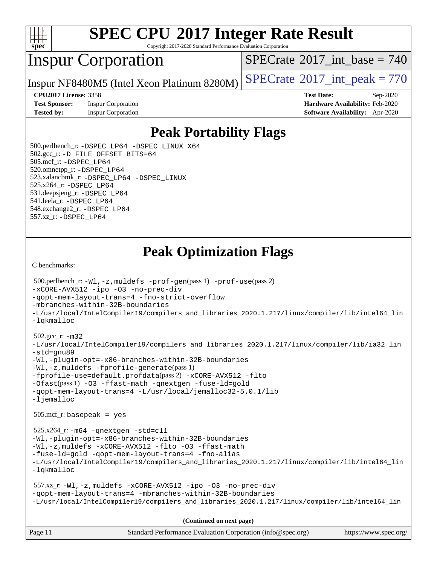

Copyright 2017-2020 Standard Performance Evaluation Corporation

## Inspur Corporation

 $SPECTate$ <sup>®</sup>[2017\\_int\\_base =](http://www.spec.org/auto/cpu2017/Docs/result-fields.html#SPECrate2017intbase) 740

Inspur NF8480M5 (Intel Xeon Platinum 8280M)  $\left|$  [SPECrate](http://www.spec.org/auto/cpu2017/Docs/result-fields.html#SPECrate2017intpeak)<sup>®</sup>[2017\\_int\\_peak = 7](http://www.spec.org/auto/cpu2017/Docs/result-fields.html#SPECrate2017intpeak)70

**[Test Sponsor:](http://www.spec.org/auto/cpu2017/Docs/result-fields.html#TestSponsor)** Inspur Corporation **[Hardware Availability:](http://www.spec.org/auto/cpu2017/Docs/result-fields.html#HardwareAvailability)** Feb-2020 **[Tested by:](http://www.spec.org/auto/cpu2017/Docs/result-fields.html#Testedby)** Inspur Corporation **[Software Availability:](http://www.spec.org/auto/cpu2017/Docs/result-fields.html#SoftwareAvailability)** Apr-2020

**[CPU2017 License:](http://www.spec.org/auto/cpu2017/Docs/result-fields.html#CPU2017License)** 3358 **[Test Date:](http://www.spec.org/auto/cpu2017/Docs/result-fields.html#TestDate)** Sep-2020

## **[Peak Portability Flags](http://www.spec.org/auto/cpu2017/Docs/result-fields.html#PeakPortabilityFlags)**

 500.perlbench\_r: [-DSPEC\\_LP64](http://www.spec.org/cpu2017/results/res2020q4/cpu2017-20200928-24047.flags.html#b500.perlbench_r_peakPORTABILITY_DSPEC_LP64) [-DSPEC\\_LINUX\\_X64](http://www.spec.org/cpu2017/results/res2020q4/cpu2017-20200928-24047.flags.html#b500.perlbench_r_peakCPORTABILITY_DSPEC_LINUX_X64) 502.gcc\_r: [-D\\_FILE\\_OFFSET\\_BITS=64](http://www.spec.org/cpu2017/results/res2020q4/cpu2017-20200928-24047.flags.html#user_peakPORTABILITY502_gcc_r_file_offset_bits_64_5ae949a99b284ddf4e95728d47cb0843d81b2eb0e18bdfe74bbf0f61d0b064f4bda2f10ea5eb90e1dcab0e84dbc592acfc5018bc955c18609f94ddb8d550002c) 505.mcf\_r: [-DSPEC\\_LP64](http://www.spec.org/cpu2017/results/res2020q4/cpu2017-20200928-24047.flags.html#suite_peakPORTABILITY505_mcf_r_DSPEC_LP64) 520.omnetpp\_r: [-DSPEC\\_LP64](http://www.spec.org/cpu2017/results/res2020q4/cpu2017-20200928-24047.flags.html#suite_peakPORTABILITY520_omnetpp_r_DSPEC_LP64) 523.xalancbmk\_r: [-DSPEC\\_LP64](http://www.spec.org/cpu2017/results/res2020q4/cpu2017-20200928-24047.flags.html#suite_peakPORTABILITY523_xalancbmk_r_DSPEC_LP64) [-DSPEC\\_LINUX](http://www.spec.org/cpu2017/results/res2020q4/cpu2017-20200928-24047.flags.html#b523.xalancbmk_r_peakCXXPORTABILITY_DSPEC_LINUX) 525.x264\_r: [-DSPEC\\_LP64](http://www.spec.org/cpu2017/results/res2020q4/cpu2017-20200928-24047.flags.html#suite_peakPORTABILITY525_x264_r_DSPEC_LP64) 531.deepsjeng\_r: [-DSPEC\\_LP64](http://www.spec.org/cpu2017/results/res2020q4/cpu2017-20200928-24047.flags.html#suite_peakPORTABILITY531_deepsjeng_r_DSPEC_LP64) 541.leela\_r: [-DSPEC\\_LP64](http://www.spec.org/cpu2017/results/res2020q4/cpu2017-20200928-24047.flags.html#suite_peakPORTABILITY541_leela_r_DSPEC_LP64) 548.exchange2\_r: [-DSPEC\\_LP64](http://www.spec.org/cpu2017/results/res2020q4/cpu2017-20200928-24047.flags.html#suite_peakPORTABILITY548_exchange2_r_DSPEC_LP64) 557.xz\_r: [-DSPEC\\_LP64](http://www.spec.org/cpu2017/results/res2020q4/cpu2017-20200928-24047.flags.html#suite_peakPORTABILITY557_xz_r_DSPEC_LP64)

## **[Peak Optimization Flags](http://www.spec.org/auto/cpu2017/Docs/result-fields.html#PeakOptimizationFlags)**

[C benchmarks](http://www.spec.org/auto/cpu2017/Docs/result-fields.html#Cbenchmarks):

```
(info@spec.org)https://www.spec.org/
  500.perlbench_r: -Wl,-z,muldefs -prof-gen(pass 1) -prof-use(pass 2)
-xCORE-AVX512 -ipo -O3 -no-prec-div
-qopt-mem-layout-trans=4 -fno-strict-overflow
-mbranches-within-32B-boundaries
-L/usr/local/IntelCompiler19/compilers_and_libraries_2020.1.217/linux/compiler/lib/intel64_lin
-lqkmalloc
  502.gcc_r: -m32
-L/usr/local/IntelCompiler19/compilers_and_libraries_2020.1.217/linux/compiler/lib/ia32_lin
-std=gnu89
-Wl,-plugin-opt=-x86-branches-within-32B-boundaries
-Wl,-z,muldefs -fprofile-generate(pass 1)
-fprofile-use=default.profdata(pass 2) -xCORE-AVX512 -flto
-Ofast(pass 1) -O3 -ffast-math -qnextgen -fuse-ld=gold
-qopt-mem-layout-trans=4 -L/usr/local/jemalloc32-5.0.1/lib
-ljemalloc
  505.mcf_r: basepeak = yes
  525.x264_r: -m64 -qnextgen -std=c11
-Wl,-plugin-opt=-x86-branches-within-32B-boundaries
-Wl,-z,muldefs -xCORE-AVX512 -flto -O3 -ffast-math
-fuse-ld=gold -qopt-mem-layout-trans=4 -fno-alias
-L/usr/local/IntelCompiler19/compilers_and_libraries_2020.1.217/linux/compiler/lib/intel64_lin
-lqkmalloc
  557.xz_r: -Wl,-z,muldefs -xCORE-AVX512 -ipo -O3 -no-prec-div
-qopt-mem-layout-trans=4 -mbranches-within-32B-boundaries
-L/usr/local/IntelCompiler19/compilers_and_libraries_2020.1.217/linux/compiler/lib/intel64_lin
                                     (Continued on next page)
```